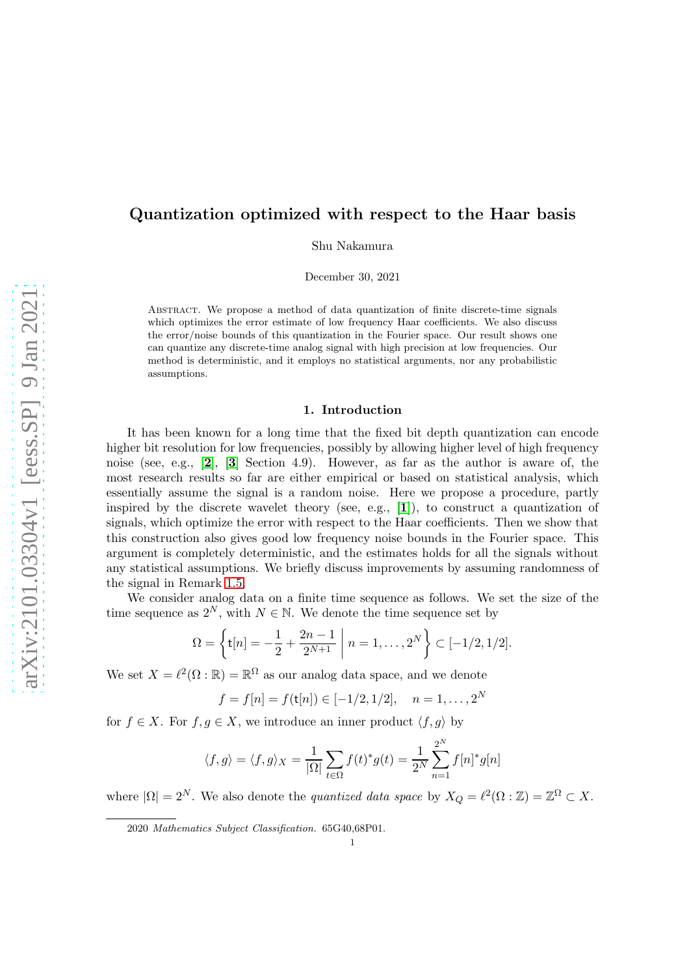# Quantization optimized with respect to the Haar basis

Shu Nakamura

December 30, 2021

Abstract. We propose a method of data quantization of finite discrete-time signals which optimizes the error estimate of low frequency Haar coefficients. We also discuss the error/noise bounds of this quantization in the Fourier space. Our result shows one can quantize any discrete-time analog signal with high precision at low frequencies. Our method is deterministic, and it employs no statistical arguments, nor any probabilistic assumptions.

### 1. Introduction

It has been known for a long time that the fixed bit depth quantization can encode higher bit resolution for low frequencies, possibly by allowing higher level of high frequency noise (see, e.g., [[2](#page-6-0)], [[3](#page-6-1)] Section 4.9). However, as far as the author is aware of, the most research results so far are either empirical or based on statistical analysis, which essentially assume the signal is a random noise. Here we propose a procedure, partly inspired by the discrete wavelet theory (see, e.g.,  $[1]$  $[1]$  $[1]$ ), to construct a quantization of signals, which optimize the error with respect to the Haar coefficients. Then we show that this construction also gives good low frequency noise bounds in the Fourier space. This argument is completely deterministic, and the estimates holds for all the signals without any statistical assumptions. We briefly discuss improvements by assuming randomness of the signal in Remark [1.5.](#page-3-0)

We consider analog data on a finite time sequence as follows. We set the size of the time sequence as  $2^N$ , with  $N \in \mathbb{N}$ . We denote the time sequence set by

$$
\Omega = \left\{ \mathbf{t}[n] = -\frac{1}{2} + \frac{2n-1}{2^{N+1}} \middle| n = 1, \dots, 2^N \right\} \subset [-1/2, 1/2].
$$

We set  $X = \ell^2(\Omega : \mathbb{R}) = \mathbb{R}^{\Omega}$  as our analog data space, and we denote

$$
f = f[n] = f(\mathsf{t}[n]) \in [-1/2, 1/2], \quad n = 1, \dots, 2^N
$$

for  $f \in X$ . For  $f, g \in X$ , we introduce an inner product  $\langle f, g \rangle$  by

$$
\langle f,g\rangle=\langle f,g\rangle_X=\frac{1}{|\Omega|}\sum_{t\in\Omega}f(t)^*g(t)=\frac{1}{2^N}\sum_{n=1}^{2^N}f[n]^*g[n]
$$

where  $|\Omega| = 2^N$ . We also denote the *quantized data space* by  $X_Q = \ell^2(\Omega : \mathbb{Z}) = \mathbb{Z}^{\Omega} \subset X$ .

<sup>2020</sup> Mathematics Subject Classification. 65G40,68P01.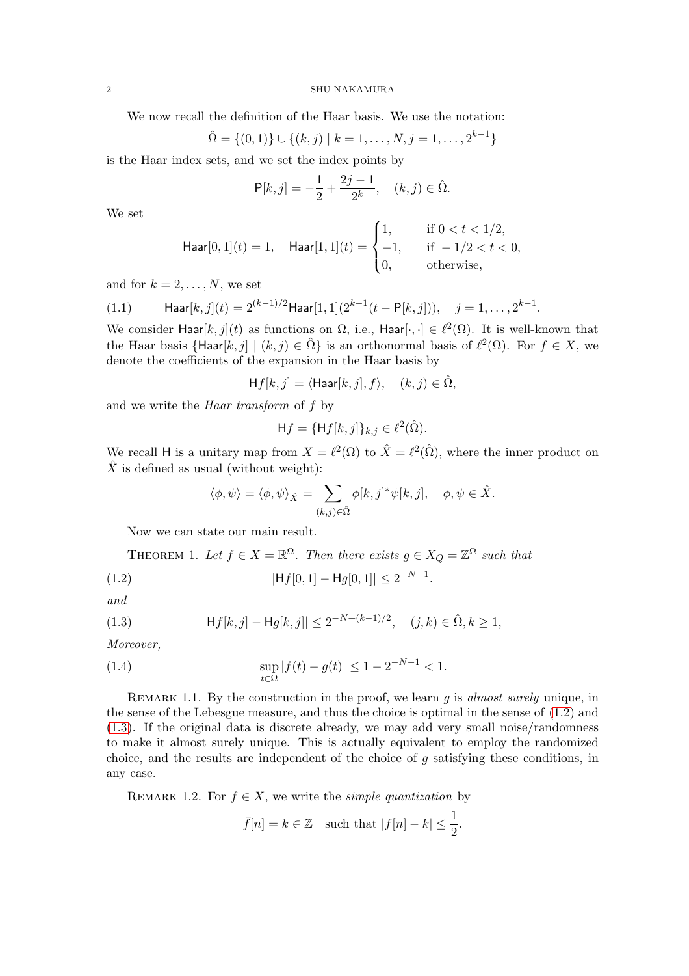We now recall the definition of the Haar basis. We use the notation:

$$
\hat{\Omega} = \{(0,1)\} \cup \{(k,j) \mid k = 1,\ldots,N, j = 1,\ldots,2^{k-1}\}
$$

is the Haar index sets, and we set the index points by

$$
P[k,j] = -\frac{1}{2} + \frac{2j-1}{2^k}, \quad (k,j) \in \hat{\Omega}.
$$

We set

$$
\text{Haar}[0,1](t) = 1, \quad \text{Haar}[1,1](t) = \begin{cases} 1, & \text{if } 0 < t < 1/2, \\ -1, & \text{if } -1/2 < t < 0, \\ 0, & \text{otherwise,} \end{cases}
$$

and for  $k = 2, \ldots, N$ , we set

<span id="page-1-4"></span>(1.1) 
$$
\text{Haar}[k,j](t) = 2^{(k-1)/2} \text{Haar}[1,1](2^{k-1}(t-\mathsf{P}[k,j])), \quad j=1,\ldots,2^{k-1}.
$$

We consider Haar $[k, j](t)$  as functions on  $\Omega$ , i.e., Haar $[\cdot, \cdot] \in \ell^2(\Omega)$ . It is well-known that the Haar basis  $\{\text{Haar}[k, j] \mid (k, j) \in \hat{\Omega}\}\$ is an orthonormal basis of  $\ell^2(\Omega)$ . For  $f \in X$ , we denote the coefficients of the expansion in the Haar basis by

$$
\mathsf{H} f[k,j] = \langle \mathsf{Haar}[k,j], f \rangle, \quad (k,j) \in \hat{\Omega},
$$

and we write the Haar transform of f by

$$
\mathsf{H}f = \{\mathsf{H}f[k,j]\}_{k,j} \in \ell^2(\hat{\Omega}).
$$

We recall H is a unitary map from  $X = \ell^2(\Omega)$  to  $\hat{X} = \ell^2(\hat{\Omega})$ , where the inner product on  $\hat{X}$  is defined as usual (without weight):

<span id="page-1-0"></span>
$$
\langle \phi, \psi \rangle = \langle \phi, \psi \rangle_{\hat{X}} = \sum_{(k,j) \in \hat{\Omega}} \phi[k,j]^* \psi[k,j], \quad \phi, \psi \in \hat{X}.
$$

Now we can state our main result.

<span id="page-1-3"></span>THEOREM 1. Let 
$$
f \in X = \mathbb{R}^{\Omega}
$$
. Then there exists  $g \in X_Q = \mathbb{Z}^{\Omega}$  such that

(1.2) 
$$
|\mathsf{H}f[0,1] - \mathsf{H}g[0,1]| \leq 2^{-N-1}.
$$

and

<span id="page-1-1"></span>(1.3) 
$$
|\mathsf{H}f[k,j] - \mathsf{H}g[k,j]| \leq 2^{-N + (k-1)/2}, \quad (j,k) \in \hat{\Omega}, k \geq 1,
$$

Moreover,

(1.4) 
$$
\sup_{t \in \Omega} |f(t) - g(t)| \le 1 - 2^{-N-1} < 1.
$$

REMARK 1.1. By the construction in the proof, we learn  $g$  is almost surely unique, in the sense of the Lebesgue measure, and thus the choice is optimal in the sense of [\(1.2\)](#page-1-0) and [\(1.3\)](#page-1-1). If the original data is discrete already, we may add very small noise/randomness to make it almost surely unique. This is actually equivalent to employ the randomized choice, and the results are independent of the choice of g satisfying these conditions, in any case.

REMARK 1.2. For  $f \in X$ , we write the *simple quantization* by

<span id="page-1-2"></span>
$$
\bar{f}[n] = k \in \mathbb{Z}
$$
 such that  $|f[n] - k| \leq \frac{1}{2}$ .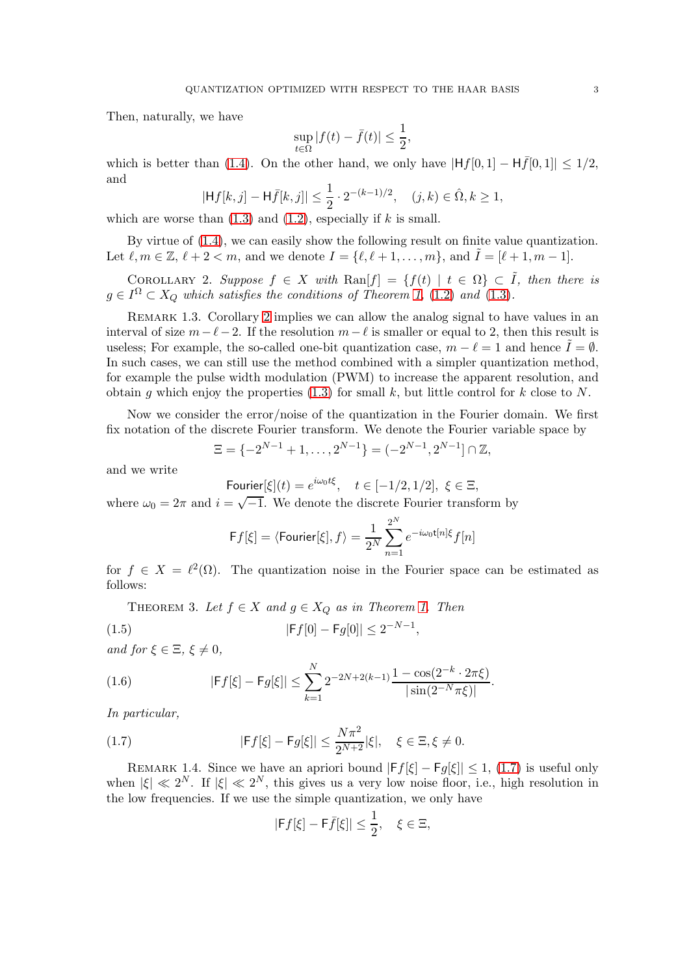Then, naturally, we have

$$
\sup_{t\in\Omega}|f(t)-\bar{f}(t)|\leq\frac{1}{2},
$$

which is better than [\(1.4\)](#page-1-2). On the other hand, we only have  $|Hf[0, 1] - H\overline{f}[0, 1]| \leq 1/2$ , and

$$
|\mathsf{H}f[k,j] - \mathsf{H}\bar{f}[k,j]| \leq \frac{1}{2} \cdot 2^{-(k-1)/2}, \quad (j,k) \in \hat{\Omega}, k \geq 1,
$$

which are worse than  $(1.3)$  and  $(1.2)$ , especially if k is small.

By virtue of [\(1.4\)](#page-1-2), we can easily show the following result on finite value quantization. Let  $\ell, m \in \mathbb{Z}, \ell + 2 < m$ , and we denote  $I = \{\ell, \ell + 1, \ldots, m\},\$  and  $I = [\ell + 1, m - 1].$ 

<span id="page-2-0"></span>COROLLARY 2. Suppose  $f \in X$  with  $\text{Ran}[f] = \{f(t) | t \in \Omega\} \subset \tilde{I}$ , then there is  $g \in I^{\Omega} \subset X_Q$  which satisfies the conditions of Theorem [1,](#page-1-3) [\(1.2\)](#page-1-0) and [\(1.3\)](#page-1-1).

REMARK 1.3. Corollary [2](#page-2-0) implies we can allow the analog signal to have values in an interval of size  $m-\ell-2$ . If the resolution  $m-\ell$  is smaller or equal to 2, then this result is useless; For example, the so-called one-bit quantization case,  $m - \ell = 1$  and hence  $\overline{I} = \emptyset$ . In such cases, we can still use the method combined with a simpler quantization method, for example the pulse width modulation (PWM) to increase the apparent resolution, and obtain g which enjoy the properties  $(1.3)$  for small k, but little control for k close to N.

Now we consider the error/noise of the quantization in the Fourier domain. We first fix notation of the discrete Fourier transform. We denote the Fourier variable space by

$$
\Xi = \{-2^{N-1} + 1, \dots, 2^{N-1}\} = (-2^{N-1}, 2^{N-1}] \cap \mathbb{Z},
$$

and we write

Fourier
$$
[\xi](t) = e^{i\omega_0 t\xi}
$$
,  $t \in [-1/2, 1/2]$ ,  $\xi \in \Xi$ ,

where  $\omega_0 = 2\pi$  and  $i = \sqrt{-1}$ . We denote the discrete Fourier transform by

<span id="page-2-4"></span>
$$
\mathsf{F}f[\xi]=\langle \mathsf{Fourier}[\xi],f\rangle=\frac{1}{2^N}\sum_{n=1}^{2^N}e^{-i\omega_0\mathsf{t}[n]\xi}f[n]
$$

for  $f \in X = \ell^2(\Omega)$ . The quantization noise in the Fourier space can be estimated as follows:

,

<span id="page-2-2"></span>THEOREM 3. Let  $f \in X$  and  $g \in X_Q$  as in Theorem [1.](#page-1-3) Then

(1.5) 
$$
|\mathsf{F}f[0] - \mathsf{F}g[0]| \le 2^{-N-1}
$$

and for  $\xi \in \Xi$ ,  $\xi \neq 0$ ,

<span id="page-2-3"></span>(1.6) 
$$
|\mathsf{F}f[\xi] - \mathsf{F}g[\xi]| \leq \sum_{k=1}^{N} 2^{-2N+2(k-1)} \frac{1 - \cos(2^{-k} \cdot 2\pi\xi)}{|\sin(2^{-N}\pi\xi)|}.
$$

In particular,

(1.7) 
$$
|Ff[\xi] - Fg[\xi]| \le \frac{N\pi^2}{2^{N+2}} |\xi|, \quad \xi \in \Xi, \xi \ne 0.
$$

REMARK 1.4. Since we have an apriori bound  $|Ff[\xi] - Fg[\xi]| \leq 1$ , [\(1.7\)](#page-2-1) is useful only when  $|\xi| \ll 2^N$ . If  $|\xi| \ll 2^N$ , this gives us a very low noise floor, i.e., high resolution in the low frequencies. If we use the simple quantization, we only have

<span id="page-2-1"></span>
$$
|\mathsf{F}f[\xi] - \mathsf{F}\bar{f}[\xi]| \le \frac{1}{2}, \quad \xi \in \Xi,
$$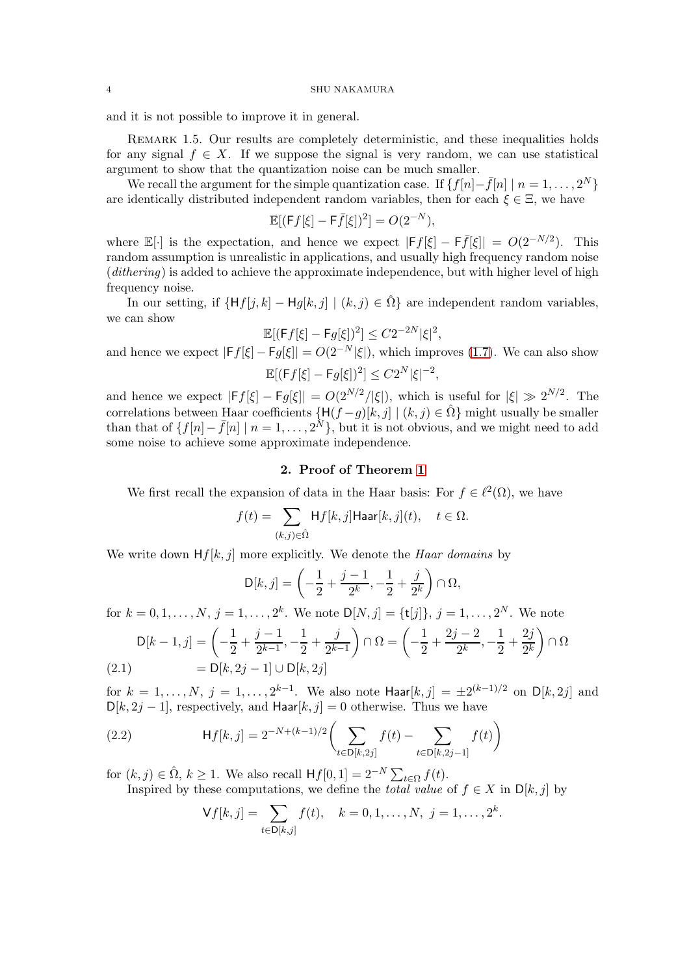and it is not possible to improve it in general.

<span id="page-3-0"></span>Remark 1.5. Our results are completely deterministic, and these inequalities holds for any signal  $f \in X$ . If we suppose the signal is very random, we can use statistical argument to show that the quantization noise can be much smaller.

We recall the argument for the simple quantization case. If  $\{f[n]-\bar{f}[n] \mid n=1,\ldots,2^N\}$ are identically distributed independent random variables, then for each  $\xi \in \Xi$ , we have

$$
\mathbb{E}[(\mathsf{F}f[\xi]-\mathsf{F}\bar{f}[\xi])^2]=O(2^{-N}),
$$

where  $\mathbb{E}[\cdot]$  is the expectation, and hence we expect  $|Ff[\xi] - F\overline{f}[\xi]| = O(2^{-N/2})$ . This random assumption is unrealistic in applications, and usually high frequency random noise  $(dithering)$  is added to achieve the approximate independence, but with higher level of high frequency noise.

In our setting, if  $\{Hf[i, k] - Hq[k, j] | (k, j) \in \hat{\Omega}\}\$ are independent random variables, we can show

$$
\mathbb{E}[(\mathsf{F}f[\xi] - \mathsf{F}g[\xi])^2] \leq C2^{-2N}|\xi|^2,
$$

and hence we expect  $|Ff[\xi] - Fg[\xi]| = O(2^{-N}|\xi|)$ , which improves [\(1.7\)](#page-2-1). We can also show  $\mathbb{E}[(\mathsf{F}f[\xi] - \mathsf{F}g[\xi])^2] \leq C2^N |\xi|^{-2},$ 

and hence we expect  $|Ff[\xi] - Fg[\xi]| = O(2^{N/2}/|\xi|)$ , which is useful for  $|\xi| \gg 2^{N/2}$ . The correlations between Haar coefficients  $\{H(f-g)[k, j] | (k, j) \in \hat{\Omega}\}\$  might usually be smaller than that of  $\{f[n]-\bar{f}[n] \mid n=1,\ldots,2^N\}$ , but it is not obvious, and we might need to add some noise to achieve some approximate independence.

## 2. Proof of Theorem [1](#page-1-3)

We first recall the expansion of data in the Haar basis: For  $f \in \ell^2(\Omega)$ , we have

$$
f(t) = \sum_{(k,j)\in\hat{\Omega}} \mathsf{H} f[k,j] \mathsf{Haar}[k,j](t), \quad t \in \Omega.
$$

We write down  $Hf[k, j]$  more explicitly. We denote the *Haar domains* by

$$
D[k,j] = \left(-\frac{1}{2} + \frac{j-1}{2^k}, -\frac{1}{2} + \frac{j}{2^k}\right) \cap \Omega,
$$

for  $k = 0, 1, ..., N$ ,  $j = 1, ..., 2<sup>k</sup>$ . We note  $D[N, j] = \{t[j]\}, j = 1, ..., 2<sup>N</sup>$ . We note

$$
D[k-1,j] = \left(-\frac{1}{2} + \frac{j-1}{2^{k-1}}, -\frac{1}{2} + \frac{j}{2^{k-1}}\right) \cap \Omega = \left(-\frac{1}{2} + \frac{2j-2}{2^k}, -\frac{1}{2} + \frac{2j}{2^k}\right) \cap \Omega
$$
  
(2.1) = D[k, 2j - 1] \cup D[k, 2j]

<span id="page-3-2"></span>for  $k = 1, ..., N$ ,  $j = 1, ..., 2^{k-1}$ . We also note  $\text{Haar}[k, j] = \pm 2^{(k-1)/2}$  on  $D[k, 2j]$  and  $D[k, 2j-1]$ , respectively, and Haar $[k, j] = 0$  otherwise. Thus we have

(2.2) 
$$
\mathsf{H}f[k,j] = 2^{-N+(k-1)/2} \bigg( \sum_{t \in \mathsf{D}[k,2j]} f(t) - \sum_{t \in \mathsf{D}[k,2j-1]} f(t) \bigg)
$$

for  $(k, j) \in \hat{\Omega}$ ,  $k \ge 1$ . We also recall  $Hf[0, 1] = 2^{-N} \sum_{t \in \Omega} f(t)$ .

Inspired by these computations, we define the *total value* of  $f \in X$  in  $D[k, j]$  by

<span id="page-3-1"></span>
$$
\mathsf{V} f[k,j] = \sum_{t \in \mathsf{D}[k,j]} f(t), \quad k = 0, 1, \dots, N, \ j = 1, \dots, 2^k.
$$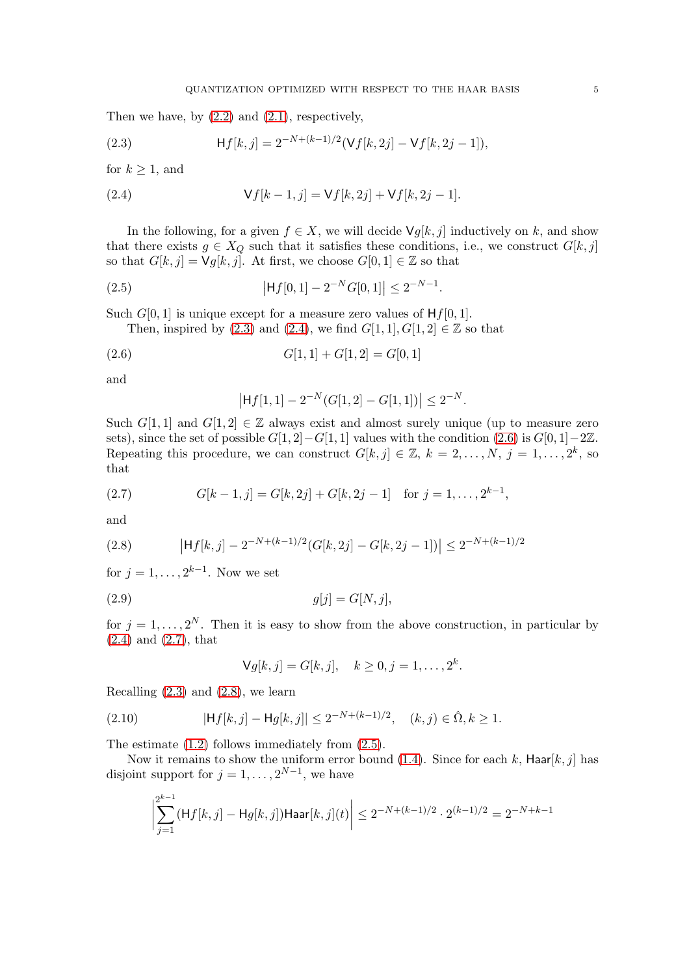Then we have, by  $(2.2)$  and  $(2.1)$ , respectively,

<span id="page-4-0"></span>(2.3) 
$$
\mathsf{H} f[k,j] = 2^{-N+(k-1)/2} (\mathsf{V} f[k, 2j] - \mathsf{V} f[k, 2j-1]),
$$

for  $k \geq 1$ , and

<span id="page-4-1"></span>(2.4) 
$$
\mathsf{V}f[k-1,j] = \mathsf{V}f[k,2j] + \mathsf{V}f[k,2j-1].
$$

In the following, for a given  $f \in X$ , we will decide  $\forall g[k, j]$  inductively on k, and show that there exists  $g \in X_Q$  such that it satisfies these conditions, i.e., we construct  $G[k, j]$ so that  $G[k, j] = \mathsf{V} g[k, j]$ . At first, we choose  $G[0, 1] \in \mathbb{Z}$  so that

.

(2.5) 
$$
|Hf[0,1] - 2^{-N}G[0,1]| \le 2^{-N-1}
$$

Such  $G[0, 1]$  is unique except for a measure zero values of  $Hf[0, 1]$ .

Then, inspired by  $(2.3)$  and  $(2.4)$ , we find  $G[1, 1], G[1, 2] \in \mathbb{Z}$  so that

$$
(2.6) \tG[1,1] + G[1,2] = G[0,1]
$$

and

<span id="page-4-5"></span><span id="page-4-2"></span>
$$
\left|\mathsf{H}f[1,1]-2^{-N}(G[1,2]-G[1,1])\right|\leq 2^{-N}.
$$

Such G[1, 1] and G[1, 2]  $\in \mathbb{Z}$  always exist and almost surely unique (up to measure zero sets), since the set of possible  $G[1, 2]-G[1, 1]$  values with the condition  $(2.6)$  is  $G[0, 1]-2\mathbb{Z}$ . Repeating this procedure, we can construct  $G[k, j] \in \mathbb{Z}, k = 2, ..., N, j = 1, ..., 2^k$ , so that

<span id="page-4-3"></span>(2.7) 
$$
G[k-1,j] = G[k,2j] + G[k,2j-1] \text{ for } j=1,\ldots,2^{k-1},
$$

and

<span id="page-4-4"></span>(2.8) 
$$
\left|\mathsf{H}f[k,j] - 2^{-N+(k-1)/2}(G[k,2j] - G[k,2j-1])\right| \leq 2^{-N+(k-1)/2}
$$

for  $j = 1, \ldots, 2^{k-1}$ . Now we set

$$
g[j] = G[N, j],
$$

for  $j = 1, ..., 2^N$ . Then it is easy to show from the above construction, in particular by [\(2.4\)](#page-4-1) and [\(2.7\)](#page-4-3), that

$$
\mathsf{V} g[k,j] = G[k,j], \quad k \ge 0, j = 1, \dots, 2^k.
$$

Recalling  $(2.3)$  and  $(2.8)$ , we learn

(2.10) 
$$
|\mathsf{H} f[k,j] - \mathsf{H} g[k,j]| \leq 2^{-N + (k-1)/2}, \quad (k,j) \in \hat{\Omega}, k \geq 1.
$$

The estimate [\(1.2\)](#page-1-0) follows immediately from [\(2.5\)](#page-4-5).

Now it remains to show the uniform error bound [\(1.4\)](#page-1-2). Since for each k,  $\text{Haar}[k, j]$  has disjoint support for  $j = 1, \ldots, 2^{N-1}$ , we have

$$
\bigg|\sum_{j=1}^{2^{k-1}}(\mathsf H f[k,j]-\mathsf H g[k,j])\mathsf{Haar}[k,j](t)\bigg|\le 2^{-N+(k-1)/2}\cdot 2^{(k-1)/2}=2^{-N+k-1}
$$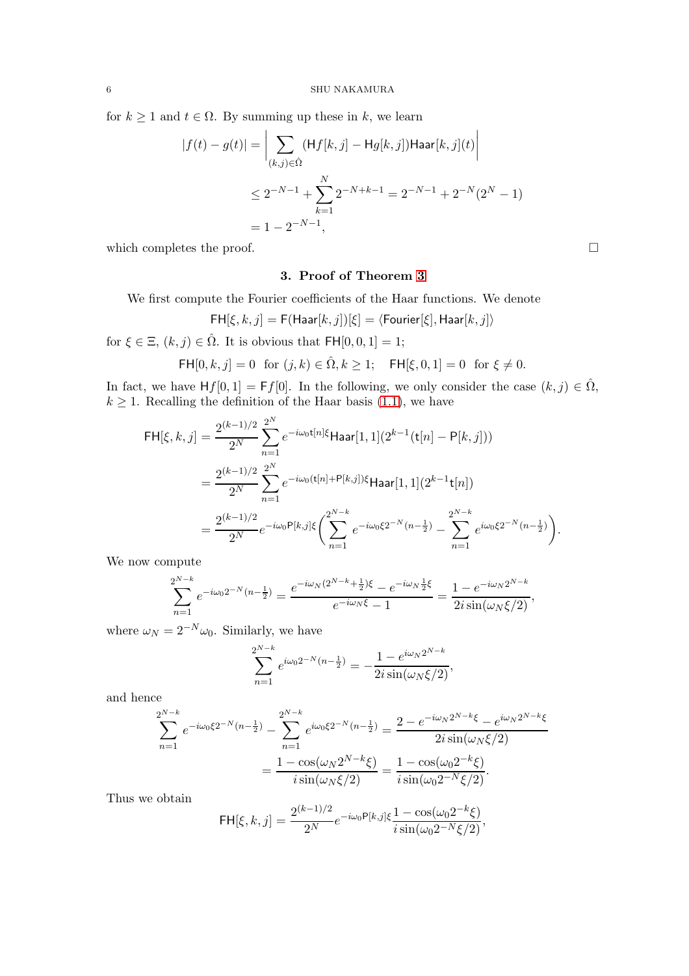for  $k \geq 1$  and  $t \in \Omega$ . By summing up these in k, we learn

$$
|f(t) - g(t)| = \left| \sum_{(k,j) \in \hat{\Omega}} (\mathsf{H}f[k,j] - \mathsf{H}g[k,j]) \mathsf{Haar}[k,j](t) \right|
$$
  

$$
\leq 2^{-N-1} + \sum_{k=1}^{N} 2^{-N+k-1} = 2^{-N-1} + 2^{-N}(2^{N} - 1)
$$
  

$$
= 1 - 2^{-N-1},
$$

which completes the proof.  $\Box$ 

# 3. Proof of Theorem [3](#page-2-2)

We first compute the Fourier coefficients of the Haar functions. We denote

$$
\mathsf{FH}[\xi,k,j] = \mathsf{F}(\mathsf{Haar}[k,j])[\xi] = \langle \mathsf{Fourier}[\xi], \mathsf{Haar}[k,j] \rangle
$$

for  $\xi \in \Xi$ ,  $(k, j) \in \hat{\Omega}$ . It is obvious that  $\mathsf{FH}[0, 0, 1] = 1$ ;

$$
\mathsf{FH}[0,k,j] = 0 \text{ for } (j,k) \in \hat{\Omega}, k \ge 1; \quad \mathsf{FH}[\xi,0,1] = 0 \text{ for } \xi \ne 0.
$$

In fact, we have  $Hf[0,1] = Ff[0]$ . In the following, we only consider the case  $(k, j) \in \hat{\Omega}$ ,  $k \geq 1$ . Recalling the definition of the Haar basis [\(1.1\)](#page-1-4), we have

$$
\begin{split} \mathsf{FH}[\xi,k,j] &= \frac{2^{(k-1)/2}}{2^N} \sum_{n=1}^{2^N} e^{-i\omega_0 t[n]\xi} \mathsf{Haar}[1,1](2^{k-1}(\mathsf{t}[n]-\mathsf{P}[k,j])) \\ &= \frac{2^{(k-1)/2}}{2^N} \sum_{n=1}^{2^N} e^{-i\omega_0 (\mathsf{t}[n]+\mathsf{P}[k,j])\xi} \mathsf{Haar}[1,1](2^{k-1}\mathsf{t}[n]) \\ &= \frac{2^{(k-1)/2}}{2^N} e^{-i\omega_0 \mathsf{P}[k,j]\xi} \bigg( \sum_{n=1}^{2^{N-k}} e^{-i\omega_0 \xi 2^{-N} (n-\frac{1}{2})} - \sum_{n=1}^{2^{N-k}} e^{i\omega_0 \xi 2^{-N} (n-\frac{1}{2})} \bigg). \end{split}
$$

We now compute

$$
\sum_{n=1}^{2^{N-k}} e^{-i\omega_0 2^{-N} (n - \frac{1}{2})} = \frac{e^{-i\omega_N (2^{N-k} + \frac{1}{2})\xi} - e^{-i\omega_N \frac{1}{2}\xi}}{e^{-i\omega_N \xi} - 1} = \frac{1 - e^{-i\omega_N 2^{N-k}}}{2i \sin(\omega_N \xi/2)},
$$

where  $\omega_N = 2^{-N} \omega_0$ . Similarly, we have

$$
\sum_{n=1}^{2^{N-k}} e^{i\omega_0 2^{-N} (n - \frac{1}{2})} = -\frac{1 - e^{i\omega_N 2^{N-k}}}{2i \sin(\omega_N \xi/2)},
$$

and hence

$$
\sum_{n=1}^{2^{N-k}} e^{-i\omega_0 \xi 2^{-N} (n - \frac{1}{2})} - \sum_{n=1}^{2^{N-k}} e^{i\omega_0 \xi 2^{-N} (n - \frac{1}{2})} = \frac{2 - e^{-i\omega_N 2^{N-k} \xi} - e^{i\omega_N 2^{N-k} \xi}}{2i \sin(\omega_N \xi/2)}
$$

$$
= \frac{1 - \cos(\omega_N 2^{N-k} \xi)}{i \sin(\omega_N \xi/2)} = \frac{1 - \cos(\omega_0 2^{-k} \xi)}{i \sin(\omega_0 2^{-N} \xi/2)}.
$$

Thus we obtain

$$
\mathsf{FH}[\xi, k, j] = \frac{2^{(k-1)/2}}{2^N} e^{-i\omega_0 \mathsf{P}[k, j] \xi} \frac{1 - \cos(\omega_0 2^{-k} \xi)}{i \sin(\omega_0 2^{-N} \xi/2)},
$$